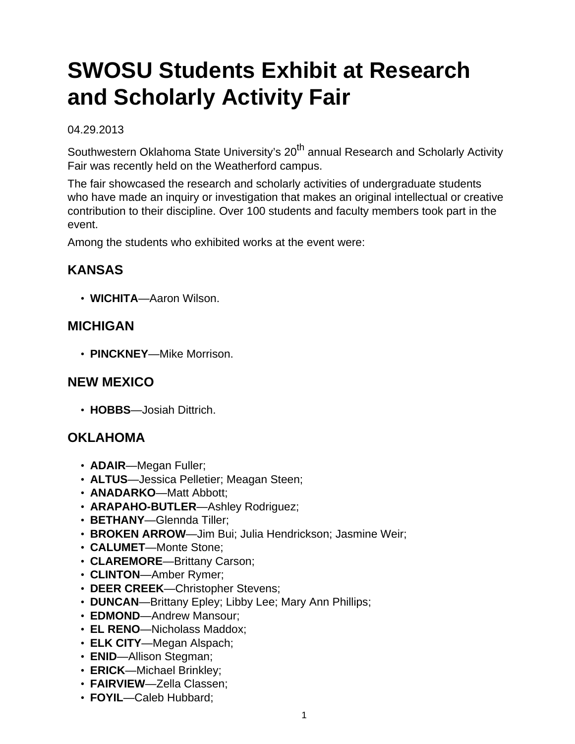# **SWOSU Students Exhibit at Research and Scholarly Activity Fair**

#### 04.29.2013

Southwestern Oklahoma State University's 20<sup>th</sup> annual Research and Scholarly Activity Fair was recently held on the Weatherford campus.

The fair showcased the research and scholarly activities of undergraduate students who have made an inquiry or investigation that makes an original intellectual or creative contribution to their discipline. Over 100 students and faculty members took part in the event.

Among the students who exhibited works at the event were:

## **KANSAS**

• **WICHITA**—Aaron Wilson.

### **MICHIGAN**

• **PINCKNEY**—Mike Morrison.

#### **NEW MEXICO**

• **HOBBS**—Josiah Dittrich.

## **OKLAHOMA**

- **ADAIR**—Megan Fuller;
- **ALTUS**—Jessica Pelletier; Meagan Steen;
- **ANADARKO**—Matt Abbott;
- **ARAPAHO-BUTLER**—Ashley Rodriguez;
- **BETHANY**—Glennda Tiller;
- **BROKEN ARROW**—Jim Bui; Julia Hendrickson; Jasmine Weir;
- **CALUMET**—Monte Stone;
- **CLAREMORE**—Brittany Carson;
- **CLINTON**—Amber Rymer;
- **DEER CREEK**—Christopher Stevens;
- **DUNCAN**—Brittany Epley; Libby Lee; Mary Ann Phillips;
- **EDMOND**—Andrew Mansour;
- **EL RENO**—Nicholass Maddox;
- **ELK CITY**—Megan Alspach;
- **ENID**—Allison Stegman;
- **ERICK**—Michael Brinkley;
- **FAIRVIEW**—Zella Classen;
- **FOYIL**—Caleb Hubbard;